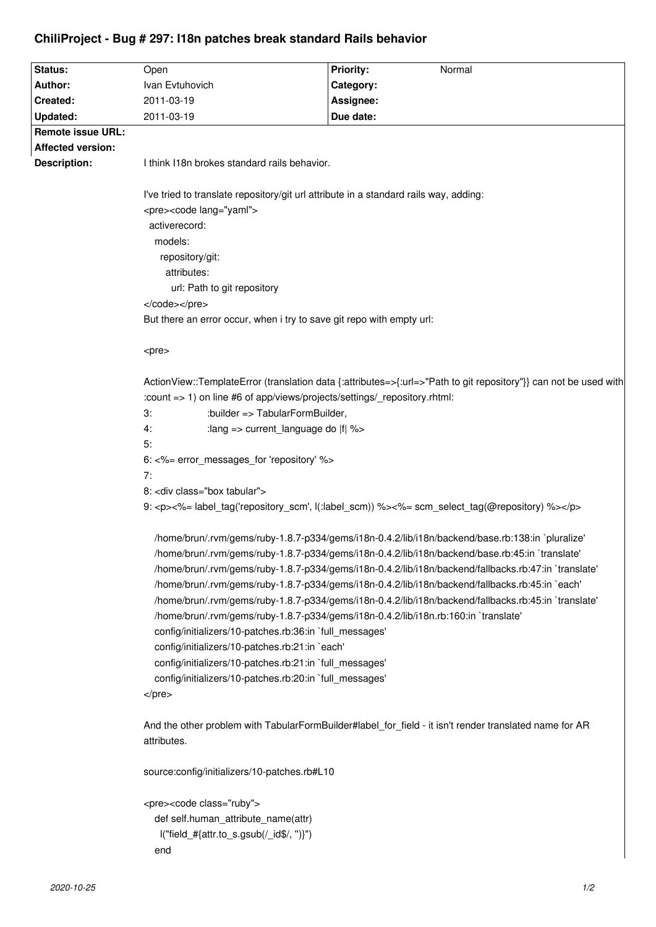## **ChiliProject - Bug # 297: I18n patches break standard Rails behavior**

| Status:                  | Open                                                                                                                                                                                                    | <b>Priority:</b><br>Normal            |                                                                                                           |
|--------------------------|---------------------------------------------------------------------------------------------------------------------------------------------------------------------------------------------------------|---------------------------------------|-----------------------------------------------------------------------------------------------------------|
| Author:                  | Ivan Evtuhovich                                                                                                                                                                                         | Category:                             |                                                                                                           |
| Created:                 | 2011-03-19                                                                                                                                                                                              | Assignee:                             |                                                                                                           |
| Updated:                 | 2011-03-19                                                                                                                                                                                              | Due date:                             |                                                                                                           |
| <b>Remote issue URL:</b> |                                                                                                                                                                                                         |                                       |                                                                                                           |
| <b>Affected version:</b> |                                                                                                                                                                                                         |                                       |                                                                                                           |
| Description:             | I think I18n brokes standard rails behavior.                                                                                                                                                            |                                       |                                                                                                           |
|                          | I've tried to translate repository/git url attribute in a standard rails way, adding:                                                                                                                   |                                       |                                                                                                           |
|                          |                                                                                                                                                                                                         |                                       | <pre><code lang="yaml"></code></pre>                                                                      |
|                          | activerecord:                                                                                                                                                                                           |                                       |                                                                                                           |
|                          | models:                                                                                                                                                                                                 |                                       |                                                                                                           |
|                          | repository/git:                                                                                                                                                                                         |                                       |                                                                                                           |
|                          | attributes:                                                                                                                                                                                             |                                       |                                                                                                           |
|                          | url: Path to git repository                                                                                                                                                                             |                                       |                                                                                                           |
|                          |                                                                                                                                                                                                         |                                       |                                                                                                           |
|                          | But there an error occur, when i try to save git repo with empty url:                                                                                                                                   |                                       |                                                                                                           |
|                          |                                                                                                                                                                                                         |                                       |                                                                                                           |
|                          | <pre></pre>                                                                                                                                                                                             |                                       |                                                                                                           |
|                          | ActionView::TemplateError (translation data {:attributes=>{:url=>"Path to git repository"}} can not be used with                                                                                        |                                       |                                                                                                           |
|                          | :count => 1) on line #6 of app/views/projects/settings/_repository.rhtml:                                                                                                                               |                                       |                                                                                                           |
|                          | :builder => TabularFormBuilder,<br>3:                                                                                                                                                                   |                                       |                                                                                                           |
|                          | : lang => current_language do  f  %><br>4:                                                                                                                                                              |                                       |                                                                                                           |
|                          | 5:                                                                                                                                                                                                      |                                       |                                                                                                           |
|                          | 6: <%= error_messages_for 'repository' %><br>7:<br>8: <div class="box tabular"></div>                                                                                                                   |                                       |                                                                                                           |
|                          |                                                                                                                                                                                                         |                                       | 9: <p>&lt;%= label_tag('repository_scm', l(:label_scm)) %&gt;&lt;%= scm_select_tag(@repository) %&gt;</p> |
|                          | /home/brun/.rvm/gems/ruby-1.8.7-p334/gems/i18n-0.4.2/lib/i18n/backend/base.rb:138:in `pluralize'                                                                                                        |                                       |                                                                                                           |
|                          | /home/brun/.rvm/gems/ruby-1.8.7-p334/gems/i18n-0.4.2/lib/i18n/backend/base.rb:45:in `translate'<br>/home/brun/.rvm/gems/ruby-1.8.7-p334/gems/i18n-0.4.2/lib/i18n/backend/fallbacks.rb:47:in `translate' |                                       |                                                                                                           |
|                          | /home/brun/.rvm/gems/ruby-1.8.7-p334/gems/i18n-0.4.2/lib/i18n/backend/fallbacks.rb:45:in `each'                                                                                                         |                                       |                                                                                                           |
|                          | /home/brun/.rvm/gems/ruby-1.8.7-p334/gems/i18n-0.4.2/lib/i18n/backend/fallbacks.rb:45:in `translate'                                                                                                    |                                       |                                                                                                           |
|                          | /home/brun/.rvm/gems/ruby-1.8.7-p334/gems/i18n-0.4.2/lib/i18n.rb:160:in `translate'                                                                                                                     |                                       |                                                                                                           |
|                          | config/initializers/10-patches.rb:36:in `full_messages'                                                                                                                                                 |                                       |                                                                                                           |
|                          | config/initializers/10-patches.rb:21:in `each'                                                                                                                                                          |                                       |                                                                                                           |
|                          | config/initializers/10-patches.rb:21:in `full_messages'                                                                                                                                                 |                                       |                                                                                                           |
|                          | config/initializers/10-patches.rb:20:in `full_messages'                                                                                                                                                 |                                       |                                                                                                           |
|                          | $<$ /pre $>$                                                                                                                                                                                            |                                       |                                                                                                           |
|                          | And the other problem with TabularFormBuilder#label_for_field - it isn't render translated name for AR                                                                                                  |                                       |                                                                                                           |
|                          | attributes.                                                                                                                                                                                             |                                       |                                                                                                           |
|                          | source:config/initializers/10-patches.rb#L10                                                                                                                                                            |                                       |                                                                                                           |
|                          |                                                                                                                                                                                                         | <pre><code class="ruby"></code></pre> |                                                                                                           |
|                          |                                                                                                                                                                                                         | def self.human_attribute_name(attr)   |                                                                                                           |
|                          | l("field_#{attr.to_s.gsub(/_id\$/, ")}")                                                                                                                                                                |                                       |                                                                                                           |

end